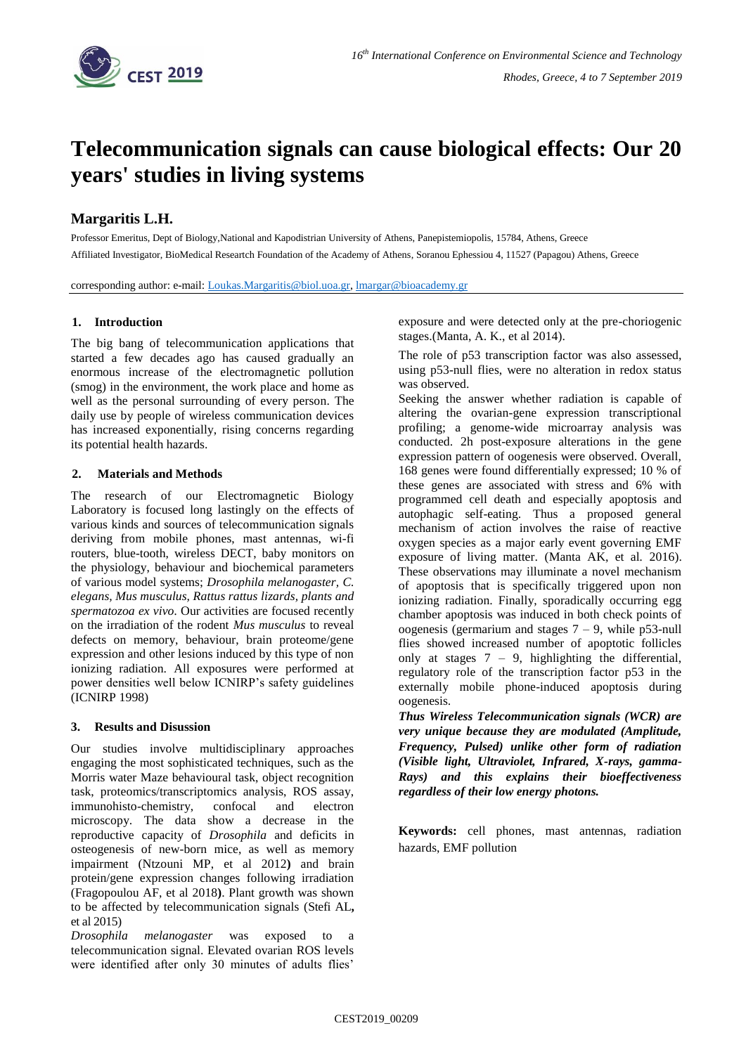

# **Telecommunication signals can cause biological effects: Our 20 years' studies in living systems**

## **Margaritis L.H.**

Professor Emeritus, Dept of Biology,National and Kapodistrian University of Athens, Panepistemiopolis, 15784, Athens, Greece Affiliated Investigator, BioMedical Researtch Foundation of the Academy of Athens, Soranou Ephessiou 4, 11527 (Papagou) Athens, Greece

corresponding author: e-mail: [Loukas.Margaritis@biol.uoa.gr,](mailto:Loukas.Margaritis@biol.uoa.gr) [lmargar@bioacademy.gr](mailto:lmargar@bioacademy.gr)

## **1. Introduction**

The big bang of telecommunication applications that started a few decades ago has caused gradually an enormous increase of the electromagnetic pollution (smog) in the environment, the work place and home as well as the personal surrounding of every person. The daily use by people of wireless communication devices has increased exponentially, rising concerns regarding its potential health hazards.

## **2. Materials and Methods**

The research of our Electromagnetic Biology Laboratory is focused long lastingly on the effects of various kinds and sources of telecommunication signals deriving from mobile phones, mast antennas, wi-fi routers, blue-tooth, wireless DECT, baby monitors on the physiology, behaviour and biochemical parameters of various model systems; *Drosophila melanogaster, C. elegans, Mus musculus, Rattus rattus lizards, plants and spermatozoa ex vivo.* Our activities are focused recently on the irradiation of the rodent *Mus musculus* to reveal defects on memory, behaviour, brain proteome/gene expression and other lesions induced by this type of non ionizing radiation. All exposures were performed at power densities well below ICNIRP's safety guidelines (ICNIRP 1998)

## **3. Results and Disussion**

Our studies involve multidisciplinary approaches engaging the most sophisticated techniques, such as the Morris water Maze behavioural task, object recognition task, proteomics/transcriptomics analysis, ROS assay, immunohisto-chemistry, confocal and electron microscopy. The data show a decrease in the reproductive capacity of *Drosophila* and deficits in osteogenesis of new-born mice, as well as memory impairment (Ntzouni MP, et al 2012**)** and brain protein/gene expression changes following irradiation (Fragopoulou AF, et al 2018**)**. Plant growth was shown to be affected by telecommunication signals (Stefi AL**,**  et al 2015)

*Drosophila melanogaster* was exposed to a telecommunication signal. Elevated ovarian ROS levels were identified after only 30 minutes of adults flies'

exposure and were detected only at the pre-choriogenic stages.(Manta, A. K., et al 2014).

The role of p53 transcription factor was also assessed, using p53-null flies, were no alteration in redox status was observed.

Seeking the answer whether radiation is capable of altering the ovarian-gene expression transcriptional profiling; a genome-wide microarray analysis was conducted. 2h post-exposure alterations in the gene expression pattern of oogenesis were observed. Overall, 168 genes were found differentially expressed; 10 % of these genes are associated with stress and 6% with programmed cell death and especially apoptosis and autophagic self-eating. Thus a proposed general mechanism of action involves the raise of reactive oxygen species as a major early event governing EMF exposure of living matter. (Manta AK, et al*.* 2016). These observations may illuminate a novel mechanism of apoptosis that is specifically triggered upon non ionizing radiation. Finally, sporadically occurring egg chamber apoptosis was induced in both check points of oogenesis (germarium and stages  $7 - 9$ , while p53-null flies showed increased number of apoptotic follicles only at stages  $7 - 9$ , highlighting the differential, regulatory role of the transcription factor p53 in the externally mobile phone-induced apoptosis during oogenesis.

*Thus Wireless Telecommunication signals (WCR) are very unique because they are modulated (Amplitude, Frequency, Pulsed) unlike other form of radiation (Visible light, Ultraviolet, Infrared, X-rays, gamma-Rays) and this explains their bioeffectiveness regardless of their low energy photons.*

**Keywords:** cell phones, mast antennas, radiation hazards, EMF pollution